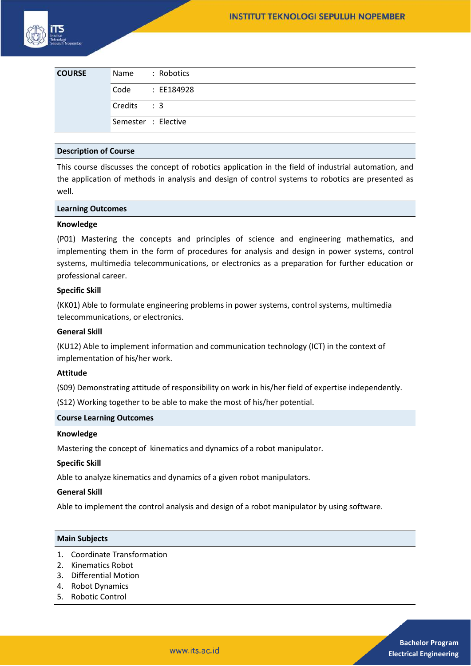| <b>COURSE</b> | Name: Robotics      |
|---------------|---------------------|
|               | Code : EE184928     |
|               | Credits : 3         |
|               | Semester : Elective |

## **Description of Course**

This course discusses the concept of robotics application in the field of industrial automation, and the application of methods in analysis and design of control systems to robotics are presented as well.

#### **Learning Outcomes**

#### **Knowledge**

(P01) Mastering the concepts and principles of science and engineering mathematics, and implementing them in the form of procedures for analysis and design in power systems, control systems, multimedia telecommunications, or electronics as a preparation for further education or professional career.

## **Specific Skill**

(KK01) Able to formulate engineering problems in power systems, control systems, multimedia telecommunications, or electronics.

#### **General Skill**

(KU12) Able to implement information and communication technology (ICT) in the context of implementation of his/her work.

#### **Attitude**

(S09) Demonstrating attitude of responsibility on work in his/her field of expertise independently.

(S12) Working together to be able to make the most of his/her potential.

#### **Course Learning Outcomes**

#### **Knowledge**

Mastering the concept of kinematics and dynamics of a robot manipulator.

## **Specific Skill**

Able to analyze kinematics and dynamics of a given robot manipulators.

#### **General Skill**

Able to implement the control analysis and design of a robot manipulator by using software.

#### **Main Subjects**

- 1. Coordinate Transformation
- 2. Kinematics Robot
- 3. Differential Motion
- 4. Robot Dynamics
- 5. Robotic Control